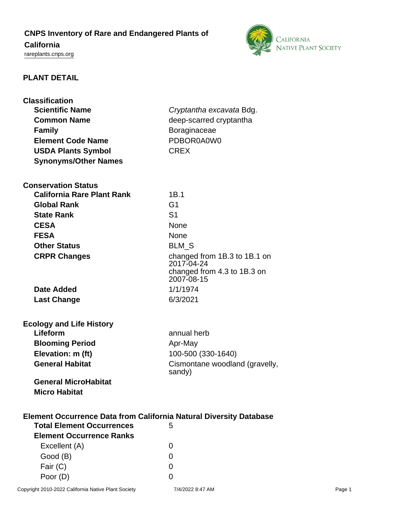# **CNPS Inventory of Rare and Endangered Plants of**

# **California**

<rareplants.cnps.org>



# **PLANT DETAIL**

| <b>Classification</b><br><b>Scientific Name</b><br><b>Common Name</b><br><b>Family</b><br><b>Element Code Name</b> | Cryptantha excavata Bdg.<br>deep-scarred cryptantha<br><b>Boraginaceae</b><br>PDBOR0A0W0 |  |
|--------------------------------------------------------------------------------------------------------------------|------------------------------------------------------------------------------------------|--|
| <b>USDA Plants Symbol</b><br><b>Synonyms/Other Names</b>                                                           | <b>CREX</b>                                                                              |  |
|                                                                                                                    |                                                                                          |  |
| <b>Conservation Status</b><br><b>California Rare Plant Rank</b>                                                    | 1B.1                                                                                     |  |
| <b>Global Rank</b>                                                                                                 | G <sub>1</sub>                                                                           |  |
| <b>State Rank</b>                                                                                                  | S <sub>1</sub>                                                                           |  |
| <b>CESA</b>                                                                                                        | None                                                                                     |  |
| <b>FESA</b>                                                                                                        | None                                                                                     |  |
| <b>Other Status</b>                                                                                                | <b>BLM_S</b>                                                                             |  |
| <b>CRPR Changes</b>                                                                                                | changed from 1B.3 to 1B.1 on                                                             |  |
|                                                                                                                    | 2017-04-24                                                                               |  |
|                                                                                                                    | changed from 4.3 to 1B.3 on<br>2007-08-15                                                |  |
| <b>Date Added</b>                                                                                                  | 1/1/1974                                                                                 |  |
| <b>Last Change</b>                                                                                                 | 6/3/2021                                                                                 |  |
|                                                                                                                    |                                                                                          |  |
| <b>Ecology and Life History</b>                                                                                    |                                                                                          |  |
| Lifeform                                                                                                           | annual herb                                                                              |  |
| <b>Blooming Period</b>                                                                                             | Apr-May                                                                                  |  |
| Elevation: m (ft)                                                                                                  | 100-500 (330-1640)                                                                       |  |
| <b>General Habitat</b>                                                                                             | Cismontane woodland (gravelly,<br>sandy)                                                 |  |
| <b>General MicroHabitat</b>                                                                                        |                                                                                          |  |
| <b>Micro Habitat</b>                                                                                               |                                                                                          |  |
|                                                                                                                    |                                                                                          |  |
| <b>Element Occurrence Data from California Natural Diversity Database</b><br><b>Total Element Occurrences</b><br>5 |                                                                                          |  |
| <b>Element Occurrence Ranks</b>                                                                                    |                                                                                          |  |
| Excellent (A)                                                                                                      | 0                                                                                        |  |
| Good (B)                                                                                                           | 0                                                                                        |  |
| Fair (C)                                                                                                           | 0                                                                                        |  |
| Poor (D)                                                                                                           | 0                                                                                        |  |